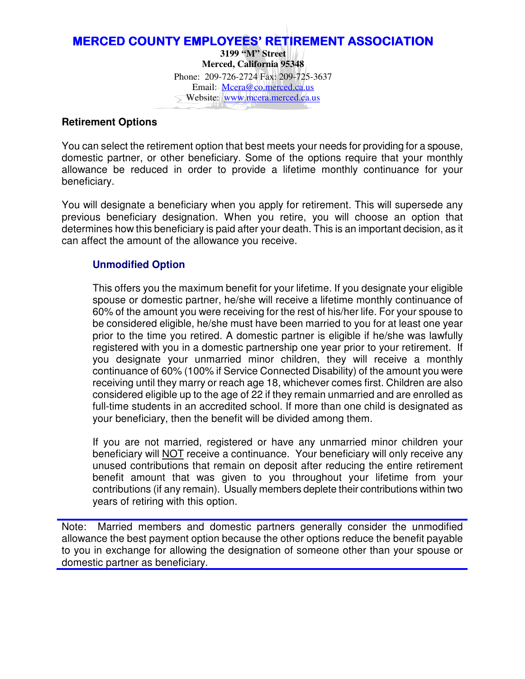### MERCED COUNTY EMPLOYEES' RETIREMENT ASSOCIATION **3199 "M" Street Merced, California 95348**  Phone: 209-726-2724 Fax: 209-725-3637 Email: Meera@co.merced.ca.us Website: www.mcera.merced.ca.us

### **Retirement Options**

You can select the retirement option that best meets your needs for providing for a spouse, domestic partner, or other beneficiary. Some of the options require that your monthly allowance be reduced in order to provide a lifetime monthly continuance for your beneficiary.

You will designate a beneficiary when you apply for retirement. This will supersede any previous beneficiary designation. When you retire, you will choose an option that determines how this beneficiary is paid after your death. This is an important decision, as it can affect the amount of the allowance you receive.

# **Unmodified Option**

This offers you the maximum benefit for your lifetime. If you designate your eligible spouse or domestic partner, he/she will receive a lifetime monthly continuance of 60% of the amount you were receiving for the rest of his/her life. For your spouse to be considered eligible, he/she must have been married to you for at least one year prior to the time you retired. A domestic partner is eligible if he/she was lawfully registered with you in a domestic partnership one year prior to your retirement. If you designate your unmarried minor children, they will receive a monthly continuance of 60% (100% if Service Connected Disability) of the amount you were receiving until they marry or reach age 18, whichever comes first. Children are also considered eligible up to the age of 22 if they remain unmarried and are enrolled as full-time students in an accredited school. If more than one child is designated as your beneficiary, then the benefit will be divided among them.

If you are not married, registered or have any unmarried minor children your beneficiary will NOT receive a continuance. Your beneficiary will only receive any unused contributions that remain on deposit after reducing the entire retirement benefit amount that was given to you throughout your lifetime from your contributions (if any remain). Usually members deplete their contributions within two years of retiring with this option.

Note: Married members and domestic partners generally consider the unmodified allowance the best payment option because the other options reduce the benefit payable to you in exchange for allowing the designation of someone other than your spouse or domestic partner as beneficiary.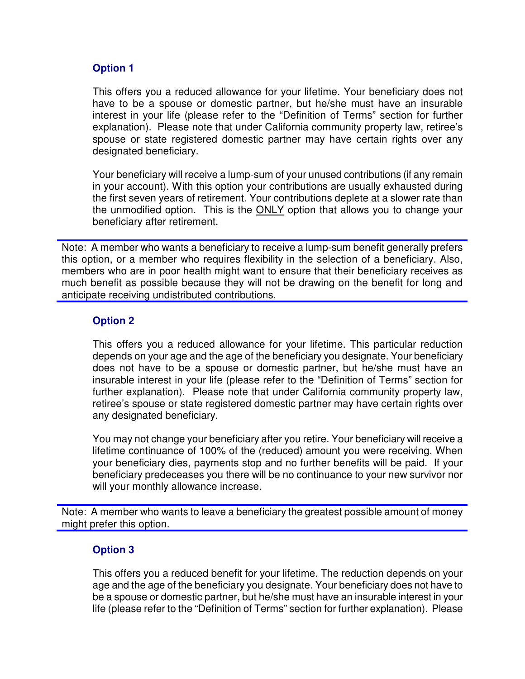## **Option 1**

This offers you a reduced allowance for your lifetime. Your beneficiary does not have to be a spouse or domestic partner, but he/she must have an insurable interest in your life (please refer to the "Definition of Terms" section for further explanation). Please note that under California community property law, retiree's spouse or state registered domestic partner may have certain rights over any designated beneficiary.

Your beneficiary will receive a lump-sum of your unused contributions (if any remain in your account). With this option your contributions are usually exhausted during the first seven years of retirement. Your contributions deplete at a slower rate than the unmodified option. This is the **ONLY** option that allows you to change your beneficiary after retirement.

Note: A member who wants a beneficiary to receive a lump-sum benefit generally prefers this option, or a member who requires flexibility in the selection of a beneficiary. Also, members who are in poor health might want to ensure that their beneficiary receives as much benefit as possible because they will not be drawing on the benefit for long and anticipate receiving undistributed contributions.

## **Option 2**

This offers you a reduced allowance for your lifetime. This particular reduction depends on your age and the age of the beneficiary you designate. Your beneficiary does not have to be a spouse or domestic partner, but he/she must have an insurable interest in your life (please refer to the "Definition of Terms" section for further explanation). Please note that under California community property law, retiree's spouse or state registered domestic partner may have certain rights over any designated beneficiary.

You may not change your beneficiary after you retire. Your beneficiary will receive a lifetime continuance of 100% of the (reduced) amount you were receiving. When your beneficiary dies, payments stop and no further benefits will be paid. If your beneficiary predeceases you there will be no continuance to your new survivor nor will your monthly allowance increase.

Note: A member who wants to leave a beneficiary the greatest possible amount of money might prefer this option.

# **Option 3**

This offers you a reduced benefit for your lifetime. The reduction depends on your age and the age of the beneficiary you designate. Your beneficiary does not have to be a spouse or domestic partner, but he/she must have an insurable interest in your life (please refer to the "Definition of Terms" section for further explanation). Please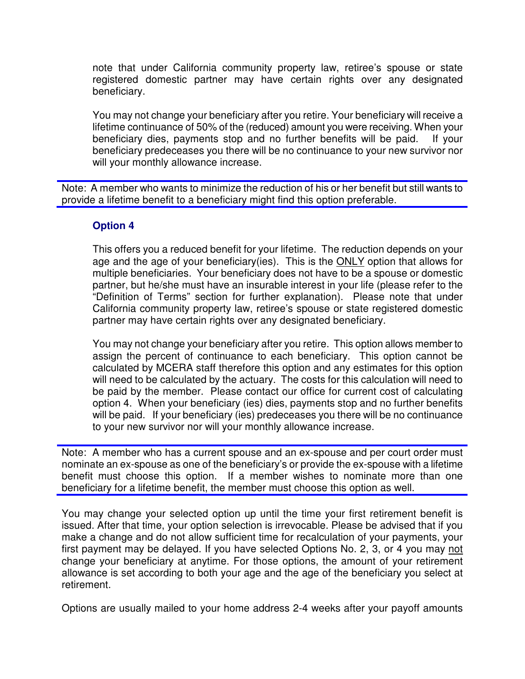note that under California community property law, retiree's spouse or state registered domestic partner may have certain rights over any designated beneficiary.

You may not change your beneficiary after you retire. Your beneficiary will receive a lifetime continuance of 50% of the (reduced) amount you were receiving. When your beneficiary dies, payments stop and no further benefits will be paid. If your beneficiary predeceases you there will be no continuance to your new survivor nor will your monthly allowance increase.

Note: A member who wants to minimize the reduction of his or her benefit but still wants to provide a lifetime benefit to a beneficiary might find this option preferable.

### **Option 4**

This offers you a reduced benefit for your lifetime. The reduction depends on your age and the age of your beneficiary(ies). This is the ONLY option that allows for multiple beneficiaries. Your beneficiary does not have to be a spouse or domestic partner, but he/she must have an insurable interest in your life (please refer to the "Definition of Terms" section for further explanation). Please note that under California community property law, retiree's spouse or state registered domestic partner may have certain rights over any designated beneficiary.

You may not change your beneficiary after you retire. This option allows member to assign the percent of continuance to each beneficiary. This option cannot be calculated by MCERA staff therefore this option and any estimates for this option will need to be calculated by the actuary. The costs for this calculation will need to be paid by the member. Please contact our office for current cost of calculating option 4. When your beneficiary (ies) dies, payments stop and no further benefits will be paid. If your beneficiary (ies) predeceases you there will be no continuance to your new survivor nor will your monthly allowance increase.

Note: A member who has a current spouse and an ex-spouse and per court order must nominate an ex-spouse as one of the beneficiary's or provide the ex-spouse with a lifetime benefit must choose this option. If a member wishes to nominate more than one beneficiary for a lifetime benefit, the member must choose this option as well.

You may change your selected option up until the time your first retirement benefit is issued. After that time, your option selection is irrevocable. Please be advised that if you make a change and do not allow sufficient time for recalculation of your payments, your first payment may be delayed. If you have selected Options No. 2, 3, or 4 you may not change your beneficiary at anytime. For those options, the amount of your retirement allowance is set according to both your age and the age of the beneficiary you select at retirement.

Options are usually mailed to your home address 2-4 weeks after your payoff amounts